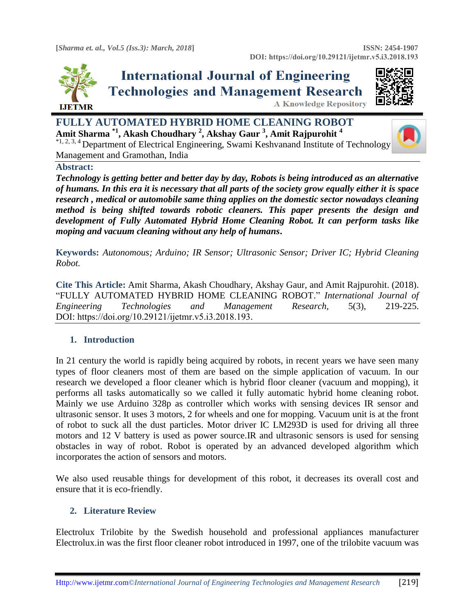

# **International Journal of Engineering Technologies and Management Research A Knowledge Repository**



**FULLY AUTOMATED HYBRID HOME CLEANING ROBOT Amit Sharma \*1, Akash Choudhary <sup>2</sup> , Akshay Gaur <sup>3</sup> , Amit Rajpurohit <sup>4</sup>** \*1, 2, 3, 4 Department of Electrical Engineering, Swami Keshvanand Institute of Technology Management and Gramothan, India



*Technology is getting better and better day by day, Robots is being introduced as an alternative of humans. In this era it is necessary that all parts of the society grow equally either it is space research , medical or automobile same thing applies on the domestic sector nowadays cleaning method is being shifted towards robotic cleaners. This paper presents the design and development of Fully Automated Hybrid Home Cleaning Robot. It can perform tasks like moping and vacuum cleaning without any help of humans***.**

**Keywords:** *Autonomous; Arduino; IR Sensor; Ultrasonic Sensor; Driver IC; Hybrid Cleaning Robot.* 

**Cite This Article:** Amit Sharma, Akash Choudhary, Akshay Gaur, and Amit Rajpurohit. (2018). "FULLY AUTOMATED HYBRID HOME CLEANING ROBOT." *International Journal of Engineering Technologies and Management Research,* 5(3), 219-225. DOI: https://doi.org/10.29121/ijetmr.v5.i3.2018.193.

# **1. Introduction**

In 21 century the world is rapidly being acquired by robots, in recent years we have seen many types of floor cleaners most of them are based on the simple application of vacuum. In our research we developed a floor cleaner which is hybrid floor cleaner (vacuum and mopping), it performs all tasks automatically so we called it fully automatic hybrid home cleaning robot. Mainly we use Arduino 328p as controller which works with sensing devices IR sensor and ultrasonic sensor. It uses 3 motors, 2 for wheels and one for mopping. Vacuum unit is at the front of robot to suck all the dust particles. Motor driver IC LM293D is used for driving all three motors and 12 V battery is used as power source.IR and ultrasonic sensors is used for sensing obstacles in way of robot. Robot is operated by an advanced developed algorithm which incorporates the action of sensors and motors.

We also used reusable things for development of this robot, it decreases its overall cost and ensure that it is eco-friendly.

## **2. Literature Review**

Electrolux Trilobite by the Swedish household and professional appliances manufacturer Electrolux.in was the first floor cleaner robot introduced in 1997, one of the trilobite vacuum was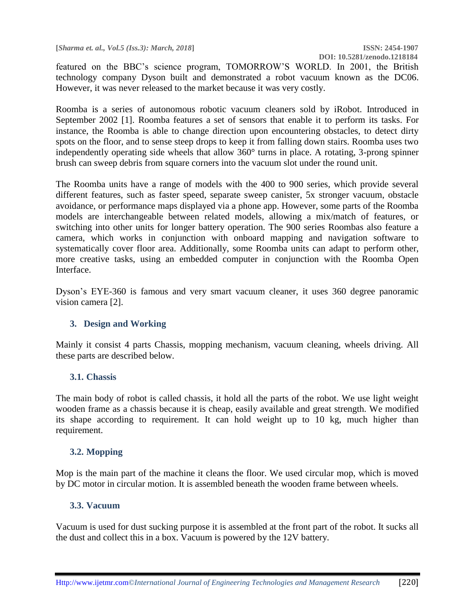**[***Sharma et. al., Vol.5 (Iss.3): March, 2018***] ISSN: 2454-1907**

featured on the BBC's science program, TOMORROW'S WORLD. In 2001, the British technology company Dyson built and demonstrated a robot vacuum known as the DC06. However, it was never released to the market because it was very costly.

Roomba is a series of autonomous robotic vacuum cleaners sold by iRobot. Introduced in September 2002 [1]. Roomba features a set of sensors that enable it to perform its tasks. For instance, the Roomba is able to change direction upon encountering obstacles, to detect dirty spots on the floor, and to sense steep drops to keep it from falling down stairs. Roomba uses two independently operating side wheels that allow 360° turns in place. A rotating, 3-prong spinner brush can sweep debris from square corners into the vacuum slot under the round unit.

The Roomba units have a range of models with the 400 to 900 series, which provide several different features, such as faster speed, separate sweep canister, 5x stronger vacuum, obstacle avoidance, or performance maps displayed via a phone app. However, some parts of the Roomba models are interchangeable between related models, allowing a mix/match of features, or switching into other units for longer battery operation. The 900 series Roombas also feature a camera, which works in conjunction with onboard mapping and navigation software to systematically cover floor area. Additionally, some Roomba units can adapt to perform other, more creative tasks, using an embedded computer in conjunction with the Roomba Open Interface.

Dyson's EYE-360 is famous and very smart vacuum cleaner, it uses 360 degree panoramic vision camera [2].

## **3. Design and Working**

Mainly it consist 4 parts Chassis, mopping mechanism, vacuum cleaning, wheels driving. All these parts are described below.

## **3.1. Chassis**

The main body of robot is called chassis, it hold all the parts of the robot. We use light weight wooden frame as a chassis because it is cheap, easily available and great strength. We modified its shape according to requirement. It can hold weight up to 10 kg, much higher than requirement.

## **3.2. Mopping**

Mop is the main part of the machine it cleans the floor. We used circular mop, which is moved by DC motor in circular motion. It is assembled beneath the wooden frame between wheels.

## **3.3. Vacuum**

Vacuum is used for dust sucking purpose it is assembled at the front part of the robot. It sucks all the dust and collect this in a box. Vacuum is powered by the 12V battery.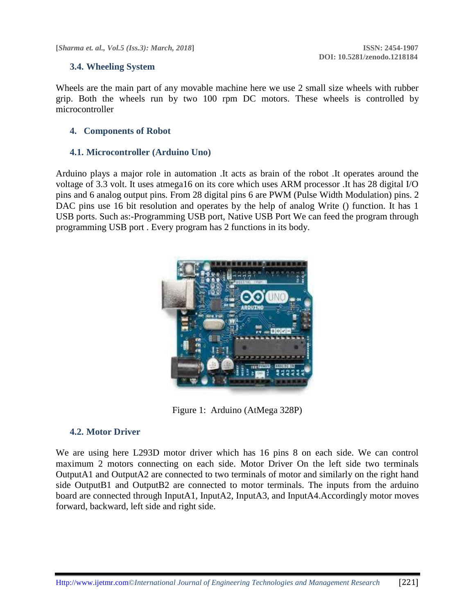**[***Sharma et. al., Vol.5 (Iss.3): March, 2018***] ISSN: 2454-1907**

## **3.4. Wheeling System**

Wheels are the main part of any movable machine here we use 2 small size wheels with rubber grip. Both the wheels run by two 100 rpm DC motors. These wheels is controlled by microcontroller

## **4. Components of Robot**

## **4.1. Microcontroller (Arduino Uno)**

Arduino plays a major role in automation .It acts as brain of the robot .It operates around the voltage of 3.3 volt. It uses atmega16 on its core which uses ARM processor .It has 28 digital I/O pins and 6 analog output pins. From 28 digital pins 6 are PWM (Pulse Width Modulation) pins. 2 DAC pins use 16 bit resolution and operates by the help of analog Write () function. It has 1 USB ports. Such as:-Programming USB port, Native USB Port We can feed the program through programming USB port . Every program has 2 functions in its body.



Figure 1: Arduino (AtMega 328P)

## **4.2. Motor Driver**

We are using here L293D motor driver which has 16 pins 8 on each side. We can control maximum 2 motors connecting on each side. Motor Driver On the left side two terminals OutputA1 and OutputA2 are connected to two terminals of motor and similarly on the right hand side OutputB1 and OutputB2 are connected to motor terminals. The inputs from the arduino board are connected through InputA1, InputA2, InputA3, and InputA4.Accordingly motor moves forward, backward, left side and right side.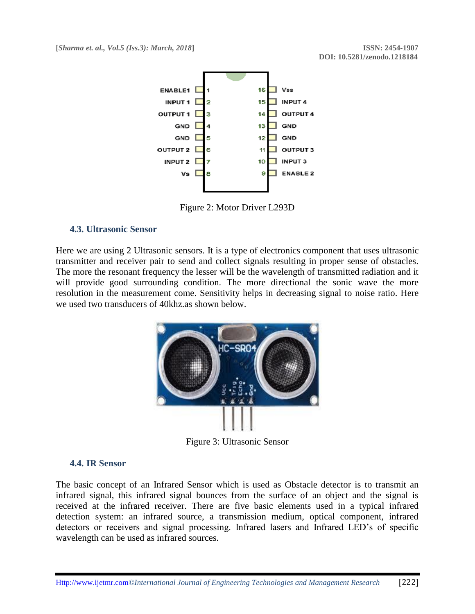

Figure 2: Motor Driver L293D

## **4.3. Ultrasonic Sensor**

Here we are using 2 Ultrasonic sensors. It is a type of electronics component that uses ultrasonic transmitter and receiver pair to send and collect signals resulting in proper sense of obstacles. The more the resonant frequency the lesser will be the wavelength of transmitted radiation and it will provide good surrounding condition. The more directional the sonic wave the more resolution in the measurement come. Sensitivity helps in decreasing signal to noise ratio. Here we used two transducers of 40khz.as shown below.



Figure 3: Ultrasonic Sensor

## **4.4. IR Sensor**

The basic concept of an Infrared Sensor which is used as Obstacle detector is to transmit an infrared signal, this infrared signal bounces from the surface of an object and the signal is received at the infrared receiver. There are five basic elements used in a typical infrared detection system: an infrared source, a transmission medium, optical component, infrared detectors or receivers and signal processing. Infrared lasers and Infrared LED's of specific wavelength can be used as infrared sources.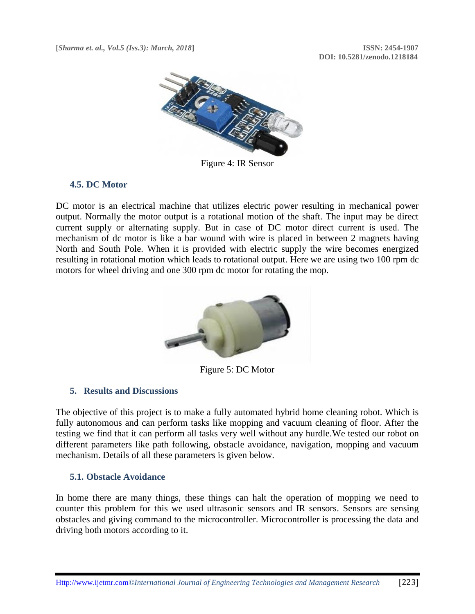

Figure 4: IR Sensor

## **4.5. DC Motor**

DC motor is an electrical machine that utilizes electric power resulting in mechanical power output. Normally the motor output is a rotational motion of the shaft. The input may be direct current supply or alternating supply. But in case of DC motor direct current is used. The mechanism of dc motor is like a bar wound with wire is placed in between 2 magnets having North and South Pole. When it is provided with electric supply the wire becomes energized resulting in rotational motion which leads to rotational output. Here we are using two 100 rpm dc motors for wheel driving and one 300 rpm dc motor for rotating the mop.



Figure 5: DC Motor

## **5. Results and Discussions**

The objective of this project is to make a fully automated hybrid home cleaning robot. Which is fully autonomous and can perform tasks like mopping and vacuum cleaning of floor. After the testing we find that it can perform all tasks very well without any hurdle.We tested our robot on different parameters like path following, obstacle avoidance, navigation, mopping and vacuum mechanism. Details of all these parameters is given below.

## **5.1. Obstacle Avoidance**

In home there are many things, these things can halt the operation of mopping we need to counter this problem for this we used ultrasonic sensors and IR sensors. Sensors are sensing obstacles and giving command to the microcontroller. Microcontroller is processing the data and driving both motors according to it.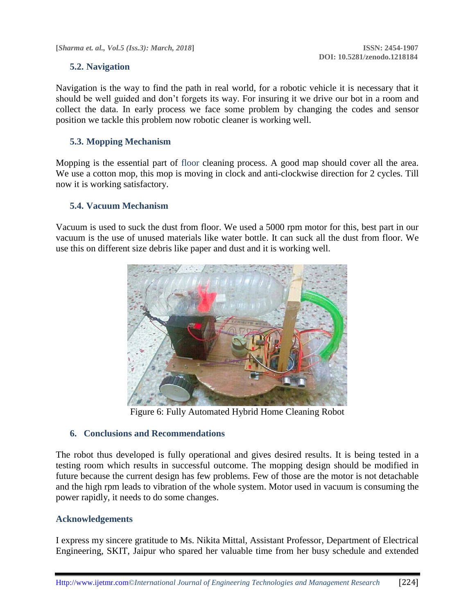**[***Sharma et. al., Vol.5 (Iss.3): March, 2018***] ISSN: 2454-1907**

## **5.2. Navigation**

Navigation is the way to find the path in real world, for a robotic vehicle it is necessary that it should be well guided and don't forgets its way. For insuring it we drive our bot in a room and collect the data. In early process we face some problem by changing the codes and sensor position we tackle this problem now robotic cleaner is working well.

## **5.3. Mopping Mechanism**

Mopping is the essential part of floor cleaning process. A good map should cover all the area. We use a cotton mop, this mop is moving in clock and anti-clockwise direction for 2 cycles. Till now it is working satisfactory.

## **5.4. Vacuum Mechanism**

Vacuum is used to suck the dust from floor. We used a 5000 rpm motor for this, best part in our vacuum is the use of unused materials like water bottle. It can suck all the dust from floor. We use this on different size debris like paper and dust and it is working well.



Figure 6: Fully Automated Hybrid Home Cleaning Robot

## **6. Conclusions and Recommendations**

The robot thus developed is fully operational and gives desired results. It is being tested in a testing room which results in successful outcome. The mopping design should be modified in future because the current design has few problems. Few of those are the motor is not detachable and the high rpm leads to vibration of the whole system. Motor used in vacuum is consuming the power rapidly, it needs to do some changes.

## **Acknowledgements**

I express my sincere gratitude to Ms. Nikita Mittal, Assistant Professor, Department of Electrical Engineering, SKIT, Jaipur who spared her valuable time from her busy schedule and extended